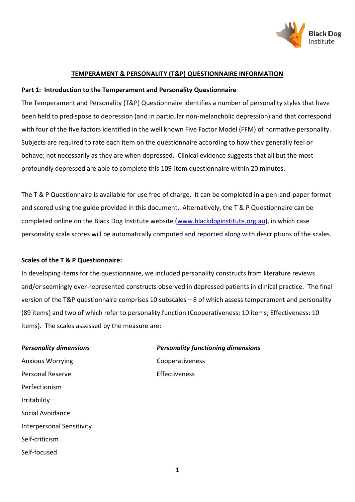

#### **TEMPERAMENT & PERSONALITY (T&P) QUESTIONNAIRE INFORMATION**

#### **Part 1: Introduction to the Temperament and Personality Questionnaire**

The Temperament and Personality (T&P) Questionnaire identifies a number of personality styles that have been held to predispose to depression (and in particular non-melancholic depression) and that correspond with four of the five factors identified in the well known Five Factor Model (FFM) of normative personality. Subjects are required to rate each item on the questionnaire according to how they generally feel or behave; not necessarily as they are when depressed. Clinical evidence suggests that all but the most profoundly depressed are able to complete this 109-item questionnaire within 20 minutes.

The T & P Questionnaire is available for use free of charge. It can be completed in a pen-and-paper format and scored using the guide provided in this document. Alternatively, the T & P Questionnaire can be completed online on the Black Dog Institute website [\(www.blackdoginstitute.org.au\)](http://www.blackdoginstitute.org.au/), in which case personality scale scores will be automatically computed and reported along with descriptions of the scales.

#### **Scales of the T & P Questionnaire:**

In developing items for the questionnaire, we included personality constructs from literature reviews and/or seemingly over-represented constructs observed in depressed patients in clinical practice. The final version of the T&P questionnaire comprises 10 subscales – 8 of which assess temperament and personality (89 items) and two of which refer to personality function (Cooperativeness: 10 items; Effectiveness: 10 items). The scales assessed by the measure are:

Anxious Worrying Cooperativeness Personal Reserve **Effectiveness** Perfectionism Irritability Social Avoidance Interpersonal Sensitivity Self-criticism Self-focused

# *Personality dimensions Personality functioning dimensions*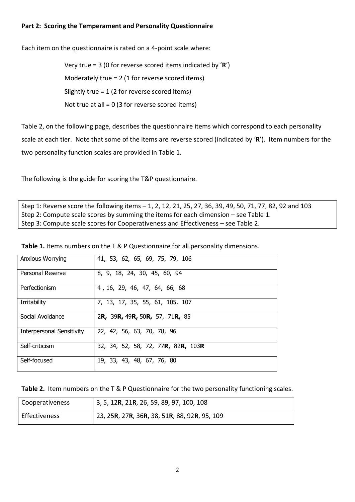#### **Part 2: Scoring the Temperament and Personality Questionnaire**

Each item on the questionnaire is rated on a 4-point scale where:

Very true = 3 (0 for reverse scored items indicated by '**R**') Moderately true = 2 (1 for reverse scored items) Slightly true = 1 (2 for reverse scored items) Not true at all = 0 (3 for reverse scored items)

Table 2, on the following page, describes the questionnaire items which correspond to each personality scale at each tier. Note that some of the items are reverse scored (indicated by '**R**'). Item numbers for the two personality function scales are provided in Table 1.

The following is the guide for scoring the T&P questionnaire.

Step 1: Reverse score the following items – 1, 2, 12, 21, 25, 27, 36, 39, 49, 50, 71, 77, 82, 92 and 103 Step 2: Compute scale scores by summing the items for each dimension – see Table 1. Step 3: Compute scale scores for Cooperativeness and Effectiveness – see Table 2.

| <b>Anxious Worrying</b>          | 41, 53, 62, 65, 69, 75, 79, 106                            |
|----------------------------------|------------------------------------------------------------|
| Personal Reserve                 | 8, 9, 18, 24, 30, 45, 60, 94                               |
| Perfectionism                    | 4, 16, 29, 46, 47, 64, 66, 68                              |
| Irritability                     | 7, 13, 17, 35, 55, 61, 105, 107                            |
| Social Avoidance                 | 2R, 39R, 49R, 50R, 57, 71R, 85                             |
| <b>Interpersonal Sensitivity</b> | 22, 42, 56, 63, 70, 78, 96                                 |
| Self-criticism                   | 32, 34, 52, 58, 72, 77 <b>R,</b> 82 <b>R,</b> 103 <b>R</b> |
| Self-focused                     | 19, 33, 43, 48, 67, 76, 80                                 |

**Table 1.** Items numbers on the T & P Questionnaire for all personality dimensions.

**Table 2.** Item numbers on the T & P Questionnaire for the two personality functioning scales.

| Cooperativeness      | 3, 5, 12R, 21R, 26, 59, 89, 97, 100, 108     |
|----------------------|----------------------------------------------|
| <b>Effectiveness</b> | 23, 25R, 27R, 36R, 38, 51R, 88, 92R, 95, 109 |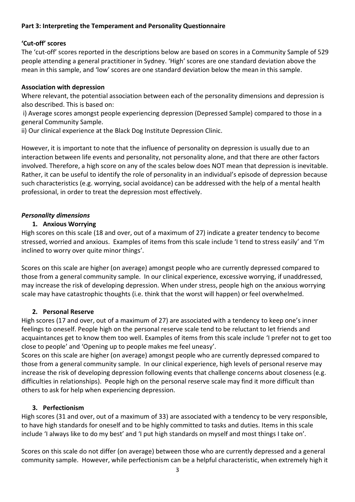#### **Part 3: Interpreting the Temperament and Personality Questionnaire**

#### **'Cut-off' scores**

The 'cut-off' scores reported in the descriptions below are based on scores in a Community Sample of 529 people attending a general practitioner in Sydney. 'High' scores are one standard deviation above the mean in this sample, and 'low' scores are one standard deviation below the mean in this sample.

#### **Association with depression**

Where relevant, the potential association between each of the personality dimensions and depression is also described. This is based on:

i) Average scores amongst people experiencing depression (Depressed Sample) compared to those in a general Community Sample.

ii) Our clinical experience at the Black Dog Institute Depression Clinic.

However, it is important to note that the influence of personality on depression is usually due to an interaction between life events and personality, not personality alone, and that there are other factors involved. Therefore, a high score on any of the scales below does NOT mean that depression is inevitable. Rather, it can be useful to identify the role of personality in an individual's episode of depression because such characteristics (e.g. worrying, social avoidance) can be addressed with the help of a mental health professional, in order to treat the depression most effectively.

#### *Personality dimensions*

#### **1. Anxious Worrying**

High scores on this scale (18 and over, out of a maximum of 27) indicate a greater tendency to become stressed, worried and anxious. Examples of items from this scale include 'I tend to stress easily' and 'I'm inclined to worry over quite minor things'.

Scores on this scale are higher (on average) amongst people who are currently depressed compared to those from a general community sample. In our clinical experience, excessive worrying, if unaddressed, may increase the risk of developing depression. When under stress, people high on the anxious worrying scale may have catastrophic thoughts (i.e. think that the worst will happen) or feel overwhelmed.

#### **2. Personal Reserve**

High scores (17 and over, out of a maximum of 27) are associated with a tendency to keep one's inner feelings to oneself. People high on the personal reserve scale tend to be reluctant to let friends and acquaintances get to know them too well. Examples of items from this scale include 'I prefer not to get too close to people' and 'Opening up to people makes me feel uneasy'.

Scores on this scale are higher (on average) amongst people who are currently depressed compared to those from a general community sample. In our clinical experience, high levels of personal reserve may increase the risk of developing depression following events that challenge concerns about closeness (e.g. difficulties in relationships). People high on the personal reserve scale may find it more difficult than others to ask for help when experiencing depression.

#### **3. Perfectionism**

High scores (31 and over, out of a maximum of 33) are associated with a tendency to be very responsible, to have high standards for oneself and to be highly committed to tasks and duties. Items in this scale include 'I always like to do my best' and 'I put high standards on myself and most things I take on'.

Scores on this scale do not differ (on average) between those who are currently depressed and a general community sample. However, while perfectionism can be a helpful characteristic, when extremely high it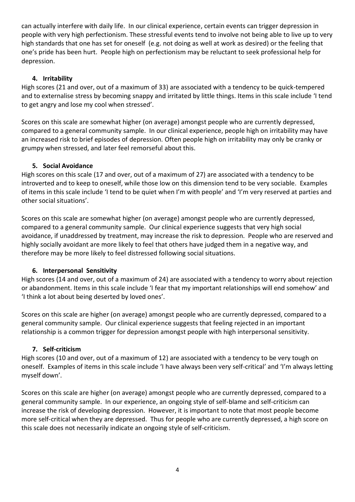can actually interfere with daily life. In our clinical experience, certain events can trigger depression in people with very high perfectionism. These stressful events tend to involve not being able to live up to very high standards that one has set for oneself (e.g. not doing as well at work as desired) or the feeling that one's pride has been hurt. People high on perfectionism may be reluctant to seek professional help for depression.

#### **4. Irritability**

High scores (21 and over, out of a maximum of 33) are associated with a tendency to be quick-tempered and to externalise stress by becoming snappy and irritated by little things. Items in this scale include 'I tend to get angry and lose my cool when stressed'.

Scores on this scale are somewhat higher (on average) amongst people who are currently depressed, compared to a general community sample. In our clinical experience, people high on irritability may have an increased risk to brief episodes of depression. Often people high on irritability may only be cranky or grumpy when stressed, and later feel remorseful about this.

#### **5. Social Avoidance**

High scores on this scale (17 and over, out of a maximum of 27) are associated with a tendency to be introverted and to keep to oneself, while those low on this dimension tend to be very sociable. Examples of items in this scale include 'I tend to be quiet when I'm with people' and 'I'm very reserved at parties and other social situations'.

Scores on this scale are somewhat higher (on average) amongst people who are currently depressed, compared to a general community sample. Our clinical experience suggests that very high social avoidance, if unaddressed by treatment, may increase the risk to depression. People who are reserved and highly socially avoidant are more likely to feel that others have judged them in a negative way, and therefore may be more likely to feel distressed following social situations.

### **6. Interpersonal Sensitivity**

High scores (14 and over, out of a maximum of 24) are associated with a tendency to worry about rejection or abandonment. Items in this scale include 'I fear that my important relationships will end somehow' and 'I think a lot about being deserted by loved ones'.

Scores on this scale are higher (on average) amongst people who are currently depressed, compared to a general community sample. Our clinical experience suggests that feeling rejected in an important relationship is a common trigger for depression amongst people with high interpersonal sensitivity.

### **7. Self-criticism**

High scores (10 and over, out of a maximum of 12) are associated with a tendency to be very tough on oneself. Examples of items in this scale include 'I have always been very self-critical' and 'I'm always letting myself down'.

Scores on this scale are higher (on average) amongst people who are currently depressed, compared to a general community sample. In our experience, an ongoing style of self-blame and self-criticism can increase the risk of developing depression. However, it is important to note that most people become more self-critical when they are depressed. Thus for people who are currently depressed, a high score on this scale does not necessarily indicate an ongoing style of self-criticism.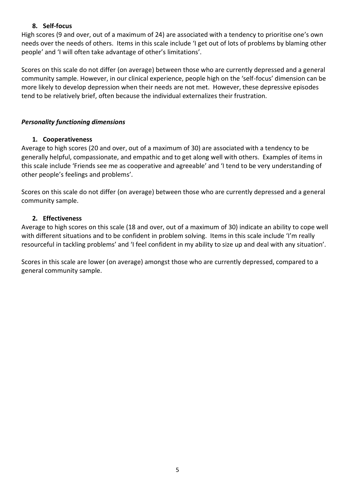#### **8. Self-focus**

High scores (9 and over, out of a maximum of 24) are associated with a tendency to prioritise one's own needs over the needs of others. Items in this scale include 'I get out of lots of problems by blaming other people' and 'I will often take advantage of other's limitations'.

Scores on this scale do not differ (on average) between those who are currently depressed and a general community sample. However, in our clinical experience, people high on the 'self-focus' dimension can be more likely to develop depression when their needs are not met. However, these depressive episodes tend to be relatively brief, often because the individual externalizes their frustration.

#### *Personality functioning dimensions*

#### **1. Cooperativeness**

Average to high scores (20 and over, out of a maximum of 30) are associated with a tendency to be generally helpful, compassionate, and empathic and to get along well with others. Examples of items in this scale include 'Friends see me as cooperative and agreeable' and 'I tend to be very understanding of other people's feelings and problems'.

Scores on this scale do not differ (on average) between those who are currently depressed and a general community sample.

#### **2. Effectiveness**

Average to high scores on this scale (18 and over, out of a maximum of 30) indicate an ability to cope well with different situations and to be confident in problem solving. Items in this scale include 'I'm really resourceful in tackling problems' and 'I feel confident in my ability to size up and deal with any situation'.

Scores in this scale are lower (on average) amongst those who are currently depressed, compared to a general community sample.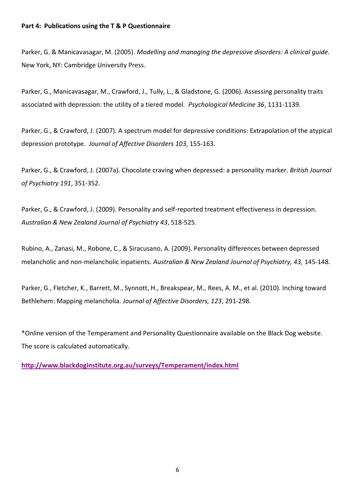Parker, G. & Manicavasagar, M. (2005). *Modelling and managing the depressive disorders: A clinical guide.*  New York, NY: Cambridge University Press.

Parker, G., Manicavasagar, M., Crawford, J., Tully, L., & Gladstone, G. (2006). Assessing personality traits associated with depression: the utility of a tiered model. *Psychological Medicine 36*, 1131-1139.

Parker, G., & Crawford, J. (2007). A spectrum model for depressive conditions: Extrapolation of the atypical depression prototype. *Journal of Affective Disorders 103*, 155-163.

Parker, G., & Crawford, J. (2007a). Chocolate craving when depressed: a personality marker. *British Journal of Psychiatry 191*, 351-352.

Parker, G., & Crawford, J. (2009). Personality and self-reported treatment effectiveness in depression. *Australian & New Zealand Journal of Psychiatry 43*, 518-525.

Rubino, A., Zanasi, M., Robone, C., & Siracusano, A. (2009). Personality differences between depressed melancholic and non-melancholic inpatients. *Australian & New Zealand Journal of Psychiatry, 43,* 145-148.

Parker, G., Fletcher, K., Barrett, M., Synnott, H., Breakspear, M., Rees, A. M., et al. (2010). Inching toward Bethlehem: Mapping melancholia. *Journal of Affective Disorders, 123*, 291-298.

\*Online version of the Temperament and Personality Questionnaire available on the Black Dog website. The score is calculated automatically.

**<http://www.blackdoginstitute.org.au/surveys/Temperament/index.html>**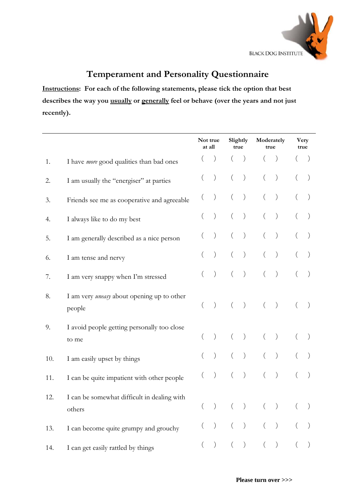

# **Temperament and Personality Questionnaire**

**Instructions: For each of the following statements, please tick the option that best describes the way you usually or generally feel or behave (over the years and not just recently).** 

|     | Not true<br>at all                                          |  |                  | Slightly<br>true                                     | Moderately<br>true | <b>Very</b><br>true |  |  |  |
|-----|-------------------------------------------------------------|--|------------------|------------------------------------------------------|--------------------|---------------------|--|--|--|
| 1.  | I have <i>more</i> good qualities than bad ones             |  |                  | $\left( \right)$                                     |                    |                     |  |  |  |
| 2.  | I am usually the "energiser" at parties                     |  | $\left( \right)$ | $\left( \right)$                                     |                    | $\big)$             |  |  |  |
| 3.  | Friends see me as cooperative and agreeable                 |  |                  | $\left( \right)$                                     |                    |                     |  |  |  |
| 4.  | I always like to do my best                                 |  | $\mathcal{C}$    | $\left( \right)$                                     |                    | $\left( \right)$    |  |  |  |
| 5.  | I am generally described as a nice person                   |  |                  | $\left( \right)$                                     |                    | $\left( \right)$    |  |  |  |
| 6.  | I am tense and nervy                                        |  | $\mathcal{E}$    | $\left( \right)$                                     |                    |                     |  |  |  |
| 7.  | I am very snappy when I'm stressed                          |  | $\left( \right)$ | $\left( \right)$                                     |                    | $\left( \right)$    |  |  |  |
| 8.  | I am very <i>uneasy</i> about opening up to other<br>people |  | $\big)$          | $\big)$                                              | $\left($           | $\big)$             |  |  |  |
| 9.  | I avoid people getting personally too close<br>to me        |  | $\left( \right)$ | $\left( \right)$                                     |                    | $\left( \right)$    |  |  |  |
| 10. | I am easily upset by things                                 |  | $\mathcal{E}$    | $\left( \right)$                                     |                    | $\left( \right)$    |  |  |  |
| 11. | I can be quite impatient with other people                  |  |                  | $\left( \right)$                                     |                    | $\mathcal{C}$       |  |  |  |
| 12. | I can be somewhat difficult in dealing with<br>others       |  |                  | $\left( \right)$                                     |                    |                     |  |  |  |
| 13. | I can become quite grumpy and grouchy                       |  | $\big)$          | $\left( \begin{array}{c} 0 \\ 0 \end{array} \right)$ |                    | $\big)$             |  |  |  |
| 14. | I can get easily rattled by things                          |  |                  | $\,$ ) $\,$                                          | $\left($           | $\left( \right)$    |  |  |  |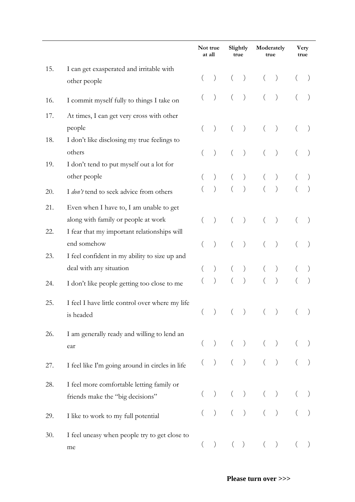|     |                                                                                | Not true<br>at all |                                                 | Slightly<br>true |                                                 | Moderately<br>true                                                                                                                                                                                                                                                                                                                                                                                                |                                                 | <b>Very</b><br>true |  |
|-----|--------------------------------------------------------------------------------|--------------------|-------------------------------------------------|------------------|-------------------------------------------------|-------------------------------------------------------------------------------------------------------------------------------------------------------------------------------------------------------------------------------------------------------------------------------------------------------------------------------------------------------------------------------------------------------------------|-------------------------------------------------|---------------------|--|
| 15. | I can get exasperated and irritable with<br>other people                       |                    | $\left( \right)$                                |                  | $\left( \right)$                                |                                                                                                                                                                                                                                                                                                                                                                                                                   | $\big)$                                         |                     |  |
| 16. | I commit myself fully to things I take on                                      |                    |                                                 |                  | $\left( \right)$                                |                                                                                                                                                                                                                                                                                                                                                                                                                   | $\left( \right)$                                |                     |  |
| 17. | At times, I can get very cross with other                                      |                    |                                                 |                  |                                                 |                                                                                                                                                                                                                                                                                                                                                                                                                   |                                                 |                     |  |
| 18. | people<br>I don't like disclosing my true feelings to                          |                    | $\left( \right)$                                |                  | $\left( \right)$                                |                                                                                                                                                                                                                                                                                                                                                                                                                   | $\big)$                                         |                     |  |
| 19. | others<br>I don't tend to put myself out a lot for                             |                    | $\left( \right)$                                |                  | $\big)$                                         |                                                                                                                                                                                                                                                                                                                                                                                                                   | $\big)$                                         |                     |  |
|     | other people                                                                   |                    |                                                 |                  | $\left( \right)$                                |                                                                                                                                                                                                                                                                                                                                                                                                                   | $\big)$                                         |                     |  |
| 20. | I don't tend to seek advice from others                                        |                    | $\left( \right)$                                |                  | $\big)$                                         |                                                                                                                                                                                                                                                                                                                                                                                                                   | $\big)$                                         |                     |  |
| 21. | Even when I have to, I am unable to get<br>along with family or people at work |                    | $\big)$                                         |                  | $\left( \right)$                                |                                                                                                                                                                                                                                                                                                                                                                                                                   | $\big)$                                         |                     |  |
| 22. | I fear that my important relationships will<br>end somehow                     |                    |                                                 |                  | $\left( \right)$                                |                                                                                                                                                                                                                                                                                                                                                                                                                   | $\big)$                                         |                     |  |
| 23. | I feel confident in my ability to size up and                                  |                    |                                                 |                  |                                                 |                                                                                                                                                                                                                                                                                                                                                                                                                   |                                                 |                     |  |
|     | deal with any situation                                                        |                    |                                                 |                  |                                                 |                                                                                                                                                                                                                                                                                                                                                                                                                   | $\Big)$<br>$\big)$                              |                     |  |
| 24. | I don't like people getting too close to me                                    |                    |                                                 |                  |                                                 |                                                                                                                                                                                                                                                                                                                                                                                                                   |                                                 |                     |  |
| 25. | I feel I have little control over where my life<br>is headed                   |                    |                                                 |                  | $\big)$                                         |                                                                                                                                                                                                                                                                                                                                                                                                                   | $\big)$                                         |                     |  |
| 26. | I am generally ready and willing to lend an<br>ear                             |                    | $\left( \right)$                                |                  |                                                 | $\begin{array}{cccc} \hspace{20pt} & & \hspace{20pt} & \hspace{20pt} & \hspace{20pt} & \hspace{20pt} & \hspace{20pt} & \hspace{20pt} & \hspace{20pt} & \hspace{20pt} & \hspace{20pt} & \hspace{20pt} & \hspace{20pt} & \hspace{20pt} & \hspace{20pt} & \hspace{20pt} & \hspace{20pt} & \hspace{20pt} & \hspace{20pt} & \hspace{20pt} & \hspace{20pt} & \hspace{20pt} & \hspace{20pt} & \hspace{20pt} & \hspace{2$ |                                                 |                     |  |
| 27. | I feel like I'm going around in circles in life                                |                    | $\big)$                                         |                  |                                                 | ) $($ $)$                                                                                                                                                                                                                                                                                                                                                                                                         |                                                 |                     |  |
| 28. | I feel more comfortable letting family or<br>friends make the "big decisions"  |                    | $\left( \right)$                                |                  | $\left( \begin{array}{c} 1 \end{array} \right)$ |                                                                                                                                                                                                                                                                                                                                                                                                                   | $\big)$                                         |                     |  |
| 29. | I like to work to my full potential                                            |                    | $\left( \begin{array}{c} 1 \end{array} \right)$ |                  |                                                 | $( )$                                                                                                                                                                                                                                                                                                                                                                                                             |                                                 |                     |  |
| 30. | I feel uneasy when people try to get close to<br>me                            | $\left($           | $\left( \begin{array}{c} 1 \end{array} \right)$ |                  | (                                               | $\left($                                                                                                                                                                                                                                                                                                                                                                                                          | $\left( \begin{array}{c} 1 \end{array} \right)$ |                     |  |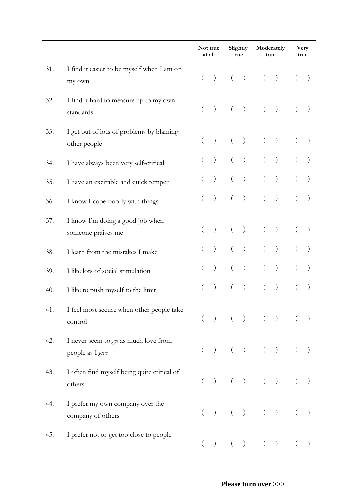|     |                                                           |          | Not true<br>at all                              |          | Slightly<br>true |                                                                                                                                                                                                                                                                                                                                                                                                                   | Moderately<br>true |          | Very<br>true       |
|-----|-----------------------------------------------------------|----------|-------------------------------------------------|----------|------------------|-------------------------------------------------------------------------------------------------------------------------------------------------------------------------------------------------------------------------------------------------------------------------------------------------------------------------------------------------------------------------------------------------------------------|--------------------|----------|--------------------|
| 31. | I find it easier to be myself when I am on<br>my own      | $\left($ | $\left( \right)$                                |          | $\big)$          | $\left($                                                                                                                                                                                                                                                                                                                                                                                                          | $\big)$            |          |                    |
| 32. | I find it hard to measure up to my own<br>standards       | $\left($ | $\left( \right)$                                | $\left($ | $\,$ )           | $\left($                                                                                                                                                                                                                                                                                                                                                                                                          | $\big)$            |          |                    |
| 33. | I get out of lots of problems by blaming<br>other people  |          | $\left( \right)$                                |          | $\left( \right)$ | $\left($                                                                                                                                                                                                                                                                                                                                                                                                          | $\big)$            |          |                    |
| 34. | I have always been very self-critical                     |          | $\left( \right)$                                |          | $\left( \right)$ |                                                                                                                                                                                                                                                                                                                                                                                                                   | $\big)$            |          |                    |
| 35. | I have an excitable and quick temper                      |          |                                                 |          | $\left( \right)$ |                                                                                                                                                                                                                                                                                                                                                                                                                   | $\left( \right)$   |          |                    |
| 36. | I know I cope poorly with things                          |          | $\big)$                                         |          | $\big)$          | $\left($                                                                                                                                                                                                                                                                                                                                                                                                          | $\big)$            |          |                    |
| 37. | I know I'm doing a good job when<br>someone praises me    |          | $\left( \right)$                                |          | $\left( \right)$ |                                                                                                                                                                                                                                                                                                                                                                                                                   | $\big)$            |          |                    |
| 38. | I learn from the mistakes I make                          |          |                                                 |          | $\left( \right)$ |                                                                                                                                                                                                                                                                                                                                                                                                                   | $\big)$            |          |                    |
| 39. | I like lots of social stimulation                         |          | $\mathcal{E}$                                   |          | $\left( \right)$ |                                                                                                                                                                                                                                                                                                                                                                                                                   | $\big)$            |          |                    |
| 40. | I like to push myself to the limit                        | $\left($ | $\left( \right)$                                | $\left($ | $\left( \right)$ | $\left($                                                                                                                                                                                                                                                                                                                                                                                                          | $\big)$            |          |                    |
| 41. | I feel most secure when other people take<br>control      |          | $\left( \begin{array}{c} 1 \end{array} \right)$ |          |                  | $( ) ( )$                                                                                                                                                                                                                                                                                                                                                                                                         |                    |          | $($ $)$            |
| 42. | I never seem to get as much love from<br>people as I give | $\left($ | $\big)$                                         | $\left($ |                  | ) ( )                                                                                                                                                                                                                                                                                                                                                                                                             |                    | $\left($ | $\hspace{0.1cm}$ ) |
| 43. | I often find myself being quite critical of<br>others     |          |                                                 |          |                  | $\begin{array}{cccc} \hspace{20pt} & & \hspace{20pt} & \hspace{20pt} & \hspace{20pt} & \hspace{20pt} & \hspace{20pt} & \hspace{20pt} & \hspace{20pt} & \hspace{20pt} & \hspace{20pt} & \hspace{20pt} & \hspace{20pt} & \hspace{20pt} & \hspace{20pt} & \hspace{20pt} & \hspace{20pt} & \hspace{20pt} & \hspace{20pt} & \hspace{20pt} & \hspace{20pt} & \hspace{20pt} & \hspace{20pt} & \hspace{20pt} & \hspace{2$ |                    |          | $(\quad \, )$      |
| 44. | I prefer my own company over the<br>company of others     |          |                                                 |          |                  | $\begin{array}{cccc} \begin{array}{cccc} \end{array} & ( & ) & ( & ) & ( & ) & \end{array}$                                                                                                                                                                                                                                                                                                                       |                    | $($ $)$  |                    |
| 45. | I prefer not to get too close to people                   | $\left($ | $\left( \right)$                                | $\left($ |                  | ) ( )                                                                                                                                                                                                                                                                                                                                                                                                             |                    | $\left($ |                    |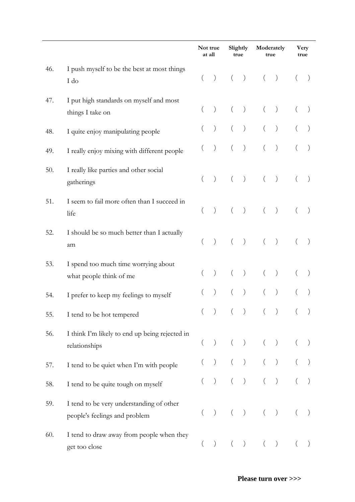|     |                                                                           |          | Not true<br>at all                              |          | Slightly<br>true                                |                                                                                                                                                                                                                                                                                                                                                                                                                   | Moderately<br>true |          | Very<br>true  |
|-----|---------------------------------------------------------------------------|----------|-------------------------------------------------|----------|-------------------------------------------------|-------------------------------------------------------------------------------------------------------------------------------------------------------------------------------------------------------------------------------------------------------------------------------------------------------------------------------------------------------------------------------------------------------------------|--------------------|----------|---------------|
| 46. | I push myself to be the best at most things<br>I do                       | $\left($ | $\left( \right)$                                | $\left($ | $\big)$                                         | $\left($                                                                                                                                                                                                                                                                                                                                                                                                          | $\big)$            |          |               |
| 47. | I put high standards on myself and most<br>things I take on               |          | $\big)$                                         |          | $\left( \right)$                                | $\left($                                                                                                                                                                                                                                                                                                                                                                                                          | $\big)$            | $\left($ |               |
| 48. | I quite enjoy manipulating people                                         |          | $\big)$                                         |          | $\left( \right)$                                |                                                                                                                                                                                                                                                                                                                                                                                                                   | $\big)$            |          |               |
| 49. | I really enjoy mixing with different people                               |          | $\left( \right)$                                |          | $\left( \right)$                                |                                                                                                                                                                                                                                                                                                                                                                                                                   | $\left( \right)$   |          |               |
| 50. | I really like parties and other social<br>gatherings                      |          | $\left( \right)$                                |          | $\hspace{0.1cm}$ )                              |                                                                                                                                                                                                                                                                                                                                                                                                                   | $\big)$            |          |               |
| 51. | I seem to fail more often than I succeed in<br>life                       | $\left($ | $\left( \right)$                                | $\left($ | $\big)$                                         | $\left($                                                                                                                                                                                                                                                                                                                                                                                                          | $\big)$            |          |               |
| 52. | I should be so much better than I actually<br>am                          |          | $\left( \right)$                                | $\left($ | $\hspace{0.1cm}$ )                              | $\left($                                                                                                                                                                                                                                                                                                                                                                                                          | $\big)$            | $\left($ |               |
| 53. | I spend too much time worrying about<br>what people think of me           |          | $\left( \right)$                                |          | $\left( \right)$                                | $\left($                                                                                                                                                                                                                                                                                                                                                                                                          | $\big)$            |          |               |
| 54. | I prefer to keep my feelings to myself                                    |          |                                                 |          | $\big)$                                         |                                                                                                                                                                                                                                                                                                                                                                                                                   | $\big)$            |          |               |
| 55. | I tend to be hot tempered                                                 |          | $\left( \right)$                                |          | $\hspace{0.1cm}$ )                              | $($ $)$                                                                                                                                                                                                                                                                                                                                                                                                           |                    |          |               |
| 56. | I think I'm likely to end up being rejected in<br>relationships           |          | $\left( \right)$                                | $\left($ |                                                 | ) $($ $)$                                                                                                                                                                                                                                                                                                                                                                                                         |                    |          | $(\quad \, )$ |
| 57. | I tend to be quiet when I'm with people                                   |          | $\left( \begin{array}{c} 1 \end{array} \right)$ |          |                                                 |                                                                                                                                                                                                                                                                                                                                                                                                                   |                    |          |               |
| 58. | I tend to be quite tough on myself                                        |          | $\,$ )                                          | $\left($ |                                                 | $\begin{array}{cccc} \hspace{20pt} & & \hspace{20pt} & \hspace{20pt} & \hspace{20pt} & \hspace{20pt} & \hspace{20pt} & \hspace{20pt} & \hspace{20pt} & \hspace{20pt} & \hspace{20pt} & \hspace{20pt} & \hspace{20pt} & \hspace{20pt} & \hspace{20pt} & \hspace{20pt} & \hspace{20pt} & \hspace{20pt} & \hspace{20pt} & \hspace{20pt} & \hspace{20pt} & \hspace{20pt} & \hspace{20pt} & \hspace{20pt} & \hspace{2$ |                    |          |               |
| 59. | I tend to be very understanding of other<br>people's feelings and problem |          | $\left( \right)$                                | $\left($ |                                                 | ) $($ $)$                                                                                                                                                                                                                                                                                                                                                                                                         |                    | $\left($ |               |
| 60. | I tend to draw away from people when they<br>get too close                | $\left($ | $\left( \right)$                                | $\left($ | $\left( \begin{array}{c} 0 \end{array} \right)$ | $\left($                                                                                                                                                                                                                                                                                                                                                                                                          | $\big)$            | $\left($ |               |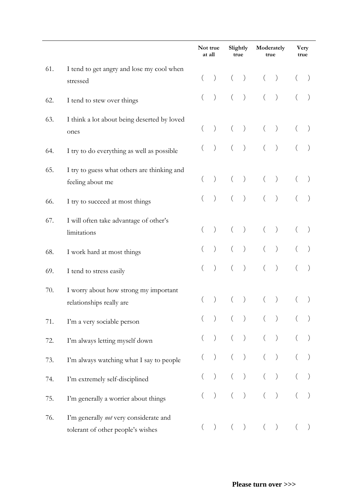|     |                                                                             |          | Not true<br>at all |          |                                                      |                                                                                                                                                                                     | Slightly<br>true |  | Moderately<br>true |  | Very<br>true |  |
|-----|-----------------------------------------------------------------------------|----------|--------------------|----------|------------------------------------------------------|-------------------------------------------------------------------------------------------------------------------------------------------------------------------------------------|------------------|--|--------------------|--|--------------|--|
| 61. | I tend to get angry and lose my cool when<br>stressed                       |          | $\left( \right)$   | $\left($ | $\big)$                                              |                                                                                                                                                                                     | (                |  |                    |  |              |  |
| 62. | I tend to stew over things                                                  |          | $\left( \right)$   |          | $\big)$                                              |                                                                                                                                                                                     | $\big)$          |  |                    |  |              |  |
| 63. | I think a lot about being deserted by loved<br>ones                         |          | $\left( \right)$   | $\left($ | $\big)$                                              |                                                                                                                                                                                     | $\big)$          |  |                    |  |              |  |
| 64. | I try to do everything as well as possible                                  |          | $\left( \right)$   |          | $\big)$                                              |                                                                                                                                                                                     | $\big)$          |  |                    |  |              |  |
| 65. | I try to guess what others are thinking and<br>feeling about me             |          | $\left( \right)$   |          | $\hspace{0.1cm}$ )                                   |                                                                                                                                                                                     | $\big)$          |  |                    |  |              |  |
| 66. | I try to succeed at most things                                             |          | $\left( \right)$   |          | $\left( \right)$                                     |                                                                                                                                                                                     | $\big)$          |  |                    |  |              |  |
| 67. | I will often take advantage of other's<br>limitations                       |          | $\left( \right)$   |          | $\left( \right)$                                     |                                                                                                                                                                                     | $\big)$          |  |                    |  |              |  |
| 68. | I work hard at most things                                                  |          |                    |          | $\,$ ) $\,$                                          |                                                                                                                                                                                     | $\big)$          |  |                    |  |              |  |
| 69. | I tend to stress easily                                                     |          | $\big)$            |          | $\big)$                                              |                                                                                                                                                                                     | $\big)$          |  |                    |  |              |  |
| 70. | I worry about how strong my important<br>relationships really are           |          | $\left( \right)$   |          | $\left( \right)$                                     |                                                                                                                                                                                     | $\big)$          |  |                    |  |              |  |
| 71. | I'm a very sociable person                                                  |          |                    |          |                                                      | $\begin{array}{cccc} \begin{array}{cccc} \end{array} & \begin{array}{cccc} \end{array} & \begin{array}{cccc} \end{array} & \begin{array}{cccc} \end{array} \end{array} \end{array}$ |                  |  |                    |  |              |  |
| 72. | I'm always letting myself down                                              |          | $\left( \right)$   |          |                                                      | ) $($ $)$                                                                                                                                                                           |                  |  |                    |  |              |  |
| 73. | I'm always watching what I say to people                                    |          | $\big)$            |          | $\big)$                                              |                                                                                                                                                                                     | $($ $)$          |  |                    |  |              |  |
| 74. | I'm extremely self-disciplined                                              |          | $\left( \right)$   |          |                                                      | ) $($ $)$                                                                                                                                                                           |                  |  |                    |  |              |  |
| 75. | I'm generally a worrier about things                                        |          | $\,$ ) $\,$        |          |                                                      | ) ( )                                                                                                                                                                               |                  |  |                    |  |              |  |
| 76. | I'm generally not very considerate and<br>tolerant of other people's wishes | $\left($ | $\left( \right)$   | $\left($ | $\left( \begin{array}{c} 0 \\ 0 \end{array} \right)$ |                                                                                                                                                                                     | (                |  |                    |  |              |  |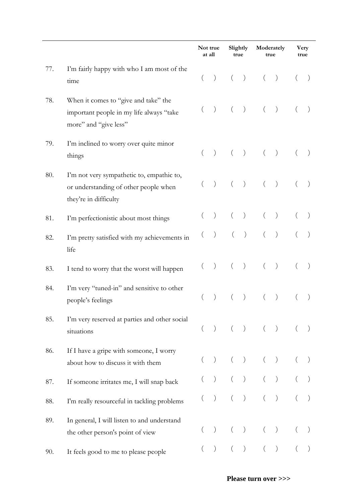|     |                                                                                                             |          | Not true<br>at all                              |          | Slightly<br>true                              |                                                         | Moderately<br>true |          | Very<br>true |
|-----|-------------------------------------------------------------------------------------------------------------|----------|-------------------------------------------------|----------|-----------------------------------------------|---------------------------------------------------------|--------------------|----------|--------------|
| 77. | I'm fairly happy with who I am most of the<br>time                                                          | $\left($ | $\left( \begin{array}{c} 1 \end{array} \right)$ | $\left($ | $\left( \begin{array}{c} \end{array} \right)$ | $($ )                                                   |                    |          |              |
| 78. | When it comes to "give and take" the<br>important people in my life always "take<br>more" and "give less"   |          | $\left( \right)$                                | $\left($ | $\left( \begin{array}{c} \end{array} \right)$ |                                                         | (                  | $\left($ |              |
| 79. | I'm inclined to worry over quite minor<br>things                                                            |          | $\left( \right)$                                | $\left($ |                                               | $)$ ( )                                                 |                    |          |              |
| 80. | I'm not very sympathetic to, empathic to,<br>or understanding of other people when<br>they're in difficulty |          | $\left( \right)$                                | $\left($ | $\big)$                                       | $\left($                                                | $\big)$            |          |              |
| 81. | I'm perfectionistic about most things                                                                       |          | $\big)$                                         |          | $\hspace{0.1cm}$ )                            | $\left(\begin{array}{c} 0 \\ 0 \\ 0 \end{array}\right)$ | $\big)$            |          |              |
| 82. | I'm pretty satisfied with my achievements in<br>life                                                        |          | $\big)$                                         | $\left($ | $\big)$                                       |                                                         | $\big)$            |          |              |
| 83. | I tend to worry that the worst will happen                                                                  |          | $\big)$                                         | $\left($ | $\hspace{0.1cm}$ )                            |                                                         | $\big)$            |          |              |
| 84. | I'm very "tuned-in" and sensitive to other<br>people's feelings                                             |          |                                                 |          | $\left( \right)$                              |                                                         | $\left( \right)$   |          |              |
| 85. | I'm very reserved at parties and other social<br>situations                                                 | $\left($ | $\big)$                                         |          |                                               | $( )$ $( )$                                             |                    |          |              |
| 86. | If I have a gripe with someone, I worry<br>about how to discuss it with them                                |          | $\left( \right)$                                | $\left($ | $\big)$                                       |                                                         | $(\quad \, )$      |          |              |
| 87. | If someone irritates me, I will snap back                                                                   |          | $\left( \right)$                                |          |                                               | ) $($ $)$                                               |                    |          |              |
| 88. | I'm really resourceful in tackling problems                                                                 |          | $\left( \right)$                                |          |                                               | ) $($ $)$                                               |                    |          |              |
| 89. | In general, I will listen to and understand<br>the other person's point of view                             |          | $\left( \right)$                                | $\left($ | $\left( \right)$                              |                                                         | $\big)$            |          |              |
| 90. | It feels good to me to please people                                                                        |          |                                                 |          |                                               |                                                         | (                  |          |              |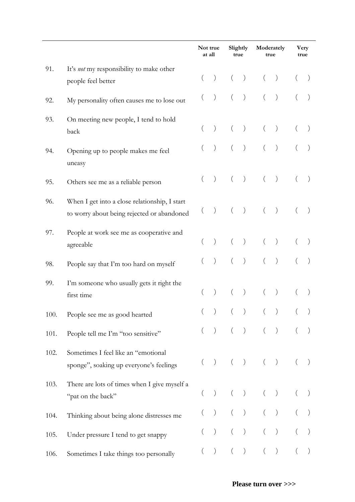|      |                                                                                             |  | Not true<br>at all |          | Slightly<br>true                                          |          | Moderately<br>true |  | Very<br>true |
|------|---------------------------------------------------------------------------------------------|--|--------------------|----------|-----------------------------------------------------------|----------|--------------------|--|--------------|
| 91.  | It's not my responsibility to make other<br>people feel better                              |  | $\left( \right)$   | $\left($ | $\big)$                                                   |          | (                  |  |              |
| 92.  | My personality often causes me to lose out                                                  |  | $\left( \right)$   |          | $\left( \right)$                                          |          | $\big)$            |  |              |
| 93.  | On meeting new people, I tend to hold<br>back                                               |  | $\left( \right)$   |          | $\left( \right)$                                          | $\left($ | $\big)$            |  |              |
| 94.  | Opening up to people makes me feel<br>uneasy                                                |  | $\left( \right)$   |          | $\left( \right)$                                          | $\left($ | $\big)$            |  |              |
| 95.  | Others see me as a reliable person                                                          |  | $\big)$            |          | $\big)$                                                   | $\left($ | $\hspace{0.1cm}$ ) |  |              |
| 96.  | When I get into a close relationship, I start<br>to worry about being rejected or abandoned |  | $\big)$            |          | $\hspace{0.1cm}$ )                                        | $\left($ | $\left( \right)$   |  | $\big)$      |
| 97.  | People at work see me as cooperative and<br>agreeable                                       |  | $\left( \right)$   | $\left($ | $\big)$                                                   | $\left($ | $\big)$            |  |              |
| 98.  | People say that I'm too hard on myself                                                      |  | $\left( \right)$   |          | $\left( \right)$                                          | $\left($ | $\left( \right)$   |  |              |
| 99.  | I'm someone who usually gets it right the<br>first time                                     |  | $\left( \right)$   |          | $\left( \right)$                                          |          | $\big)$            |  |              |
| 100. | People see me as good hearted                                                               |  |                    |          | $\left( \right)$                                          |          | $\big)$            |  |              |
| 101. | People tell me I'm "too sensitive"                                                          |  | $\,$ )             |          |                                                           | ) ( )    |                    |  |              |
| 102. | Sometimes I feel like an "emotional<br>sponge", soaking up everyone's feelings              |  | $\left( \right)$   |          | $\left( \begin{array}{c} \end{array} \right)$             |          | (                  |  |              |
| 103. | There are lots of times when I give myself a<br>"pat on the back"                           |  |                    |          | $\left( \right)$                                          | $\left($ | $\big)$            |  |              |
| 104. | Thinking about being alone distresses me                                                    |  |                    |          | $\left( \begin{array}{c} 0 \\ 0 \\ 0 \end{array} \right)$ |          | $($ $)$            |  |              |
| 105. | Under pressure I tend to get snappy                                                         |  | $\left( \right)$   |          | $\left( \right)$                                          |          | $\big)$            |  |              |
| 106. | Sometimes I take things too personally                                                      |  | $\left( \right)$   |          | $\left( \right)$                                          | $\left($ | $\left( \right)$   |  |              |